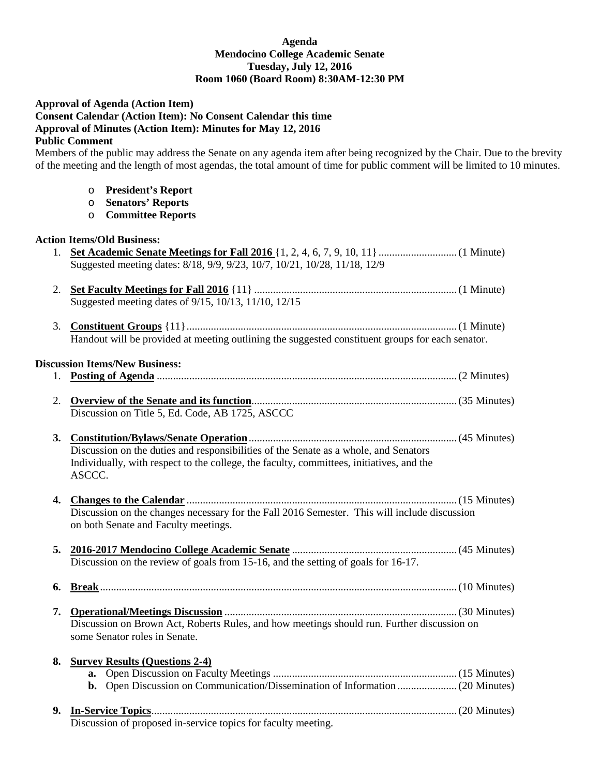## **Agenda Mendocino College Academic Senate Tuesday, July 12, 2016 Room 1060 (Board Room) 8:30AM-12:30 PM**

# **Approval of Agenda (Action Item)**

**Consent Calendar (Action Item): No Consent Calendar this time Approval of Minutes (Action Item): Minutes for May 12, 2016**

#### **Public Comment**

Members of the public may address the Senate on any agenda item after being recognized by the Chair. Due to the brevity of the meeting and the length of most agendas, the total amount of time for public comment will be limited to 10 minutes.

- o **President's Report**
- o **Senators' Reports**
- o **Committee Reports**

# **Action Items/Old Business:**

|                                       | Suggested meeting dates: 8/18, 9/9, 9/23, 10/7, 10/21, 10/28, 11/18, 12/9                                                                                                                  |  |
|---------------------------------------|--------------------------------------------------------------------------------------------------------------------------------------------------------------------------------------------|--|
|                                       | Suggested meeting dates of 9/15, 10/13, 11/10, 12/15                                                                                                                                       |  |
|                                       | Handout will be provided at meeting outlining the suggested constituent groups for each senator.                                                                                           |  |
| <b>Discussion Items/New Business:</b> |                                                                                                                                                                                            |  |
|                                       |                                                                                                                                                                                            |  |
|                                       | Discussion on Title 5, Ed. Code, AB 1725, ASCCC                                                                                                                                            |  |
|                                       | Discussion on the duties and responsibilities of the Senate as a whole, and Senators<br>Individually, with respect to the college, the faculty, committees, initiatives, and the<br>ASCCC. |  |
|                                       | Discussion on the changes necessary for the Fall 2016 Semester. This will include discussion<br>on both Senate and Faculty meetings.                                                       |  |
|                                       | Discussion on the review of goals from 15-16, and the setting of goals for 16-17.                                                                                                          |  |
| 6.                                    |                                                                                                                                                                                            |  |
|                                       | Discussion on Brown Act, Roberts Rules, and how meetings should run. Further discussion on<br>some Senator roles in Senate.                                                                |  |
|                                       | 8. Survey Results (Questions 2-4)                                                                                                                                                          |  |
|                                       | Discussion of proposed in-service topics for faculty meeting.                                                                                                                              |  |